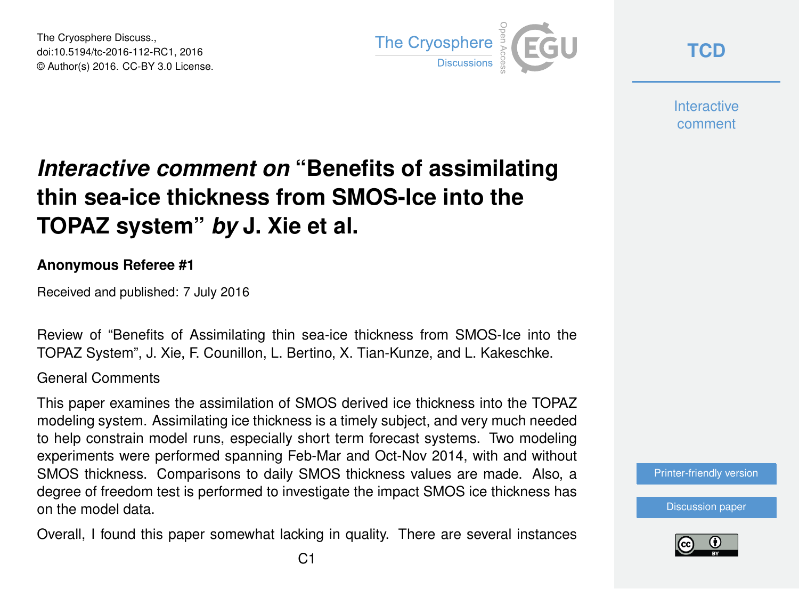The Cryosphere Discuss., doi:10.5194/tc-2016-112-RC1, 2016 © Author(s) 2016. CC-BY 3.0 License.



**[TCD](http://www.the-cryosphere-discuss.net/)**

**Interactive** comment

# *Interactive comment on* **"Benefits of assimilating thin sea-ice thickness from SMOS-Ice into the TOPAZ system"** *by* **J. Xie et al.**

#### **Anonymous Referee #1**

Received and published: 7 July 2016

Review of "Benefits of Assimilating thin sea-ice thickness from SMOS-Ice into the TOPAZ System", J. Xie, F. Counillon, L. Bertino, X. Tian-Kunze, and L. Kakeschke.

General Comments

This paper examines the assimilation of SMOS derived ice thickness into the TOPAZ modeling system. Assimilating ice thickness is a timely subject, and very much needed to help constrain model runs, especially short term forecast systems. Two modeling experiments were performed spanning Feb-Mar and Oct-Nov 2014, with and without SMOS thickness. Comparisons to daily SMOS thickness values are made. Also, a degree of freedom test is performed to investigate the impact SMOS ice thickness has on the model data.

Overall, I found this paper somewhat lacking in quality. There are several instances

[Printer-friendly version](http://www.the-cryosphere-discuss.net/tc-2016-112/tc-2016-112-RC1-print.pdf)

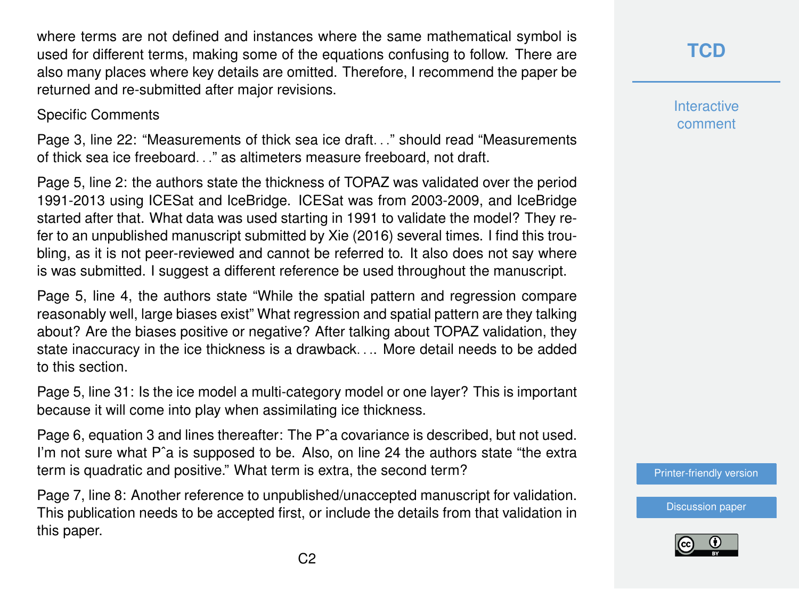where terms are not defined and instances where the same mathematical symbol is used for different terms, making some of the equations confusing to follow. There are also many places where key details are omitted. Therefore, I recommend the paper be returned and re-submitted after major revisions.

#### Specific Comments

Page 3, line 22: "Measurements of thick sea ice draft. . ." should read "Measurements of thick sea ice freeboard. . ." as altimeters measure freeboard, not draft.

Page 5, line 2: the authors state the thickness of TOPAZ was validated over the period 1991-2013 using ICESat and IceBridge. ICESat was from 2003-2009, and IceBridge started after that. What data was used starting in 1991 to validate the model? They refer to an unpublished manuscript submitted by Xie (2016) several times. I find this troubling, as it is not peer-reviewed and cannot be referred to. It also does not say where is was submitted. I suggest a different reference be used throughout the manuscript.

Page 5, line 4, the authors state "While the spatial pattern and regression compare reasonably well, large biases exist" What regression and spatial pattern are they talking about? Are the biases positive or negative? After talking about TOPAZ validation, they state inaccuracy in the ice thickness is a drawback. . .. More detail needs to be added to this section.

Page 5, line 31: Is the ice model a multi-category model or one layer? This is important because it will come into play when assimilating ice thickness.

Page 6, equation 3 and lines thereafter: The Pˆa covariance is described, but not used. I'm not sure what P<sup>o</sup>a is supposed to be. Also, on line 24 the authors state "the extra term is quadratic and positive." What term is extra, the second term?

Page 7, line 8: Another reference to unpublished/unaccepted manuscript for validation. This publication needs to be accepted first, or include the details from that validation in this paper.

**[TCD](http://www.the-cryosphere-discuss.net/)**

**Interactive** comment

[Printer-friendly version](http://www.the-cryosphere-discuss.net/tc-2016-112/tc-2016-112-RC1-print.pdf)

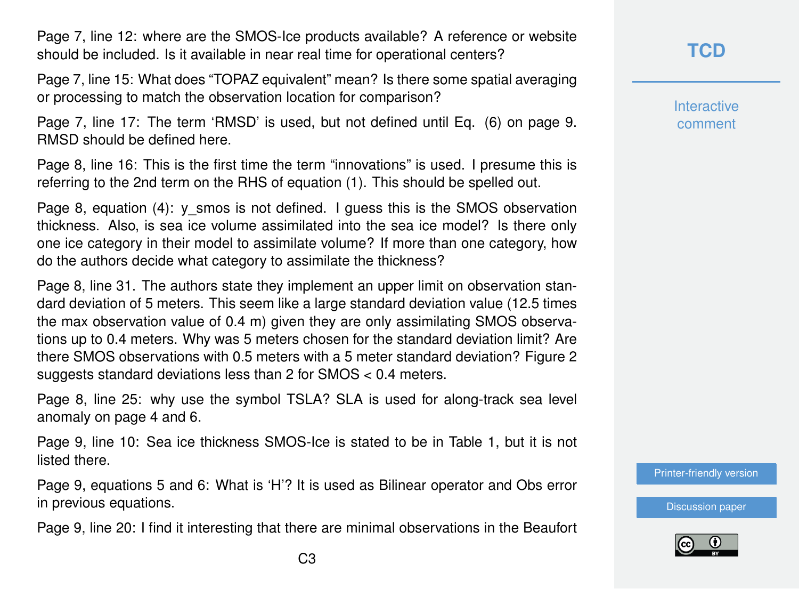Page 7, line 12: where are the SMOS-Ice products available? A reference or website should be included. Is it available in near real time for operational centers?

Page 7, line 15: What does "TOPAZ equivalent" mean? Is there some spatial averaging or processing to match the observation location for comparison?

Page 7, line 17: The term 'RMSD' is used, but not defined until Eq. (6) on page 9. RMSD should be defined here.

Page 8, line 16: This is the first time the term "innovations" is used. I presume this is referring to the 2nd term on the RHS of equation (1). This should be spelled out.

Page 8, equation (4):  $y$  smos is not defined. I guess this is the SMOS observation thickness. Also, is sea ice volume assimilated into the sea ice model? Is there only one ice category in their model to assimilate volume? If more than one category, how do the authors decide what category to assimilate the thickness?

Page 8, line 31. The authors state they implement an upper limit on observation standard deviation of 5 meters. This seem like a large standard deviation value (12.5 times the max observation value of 0.4 m) given they are only assimilating SMOS observations up to 0.4 meters. Why was 5 meters chosen for the standard deviation limit? Are there SMOS observations with 0.5 meters with a 5 meter standard deviation? Figure 2 suggests standard deviations less than 2 for SMOS < 0.4 meters.

Page 8, line 25: why use the symbol TSLA? SLA is used for along-track sea level anomaly on page 4 and 6.

Page 9, line 10: Sea ice thickness SMOS-Ice is stated to be in Table 1, but it is not listed there.

Page 9, equations 5 and 6: What is 'H'? It is used as Bilinear operator and Obs error in previous equations.

Page 9, line 20: I find it interesting that there are minimal observations in the Beaufort

### **[TCD](http://www.the-cryosphere-discuss.net/)**

**Interactive** comment

[Printer-friendly version](http://www.the-cryosphere-discuss.net/tc-2016-112/tc-2016-112-RC1-print.pdf)

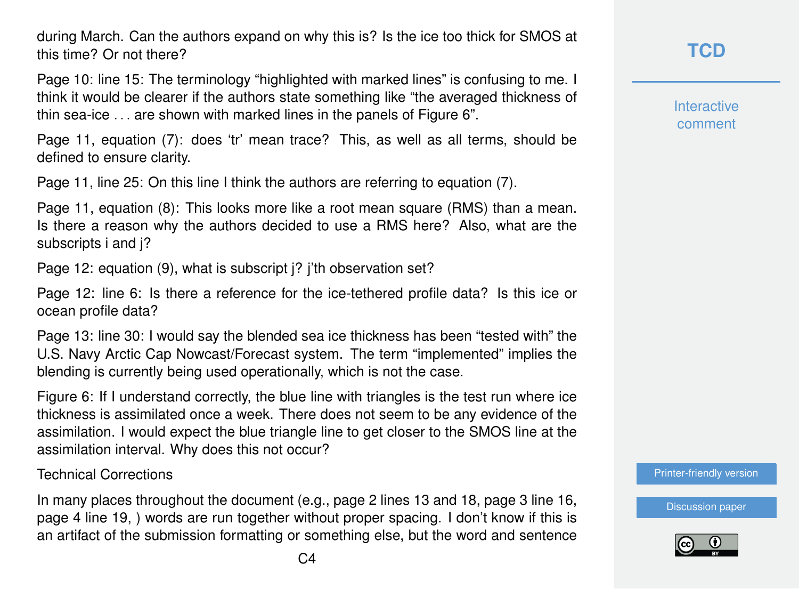during March. Can the authors expand on why this is? Is the ice too thick for SMOS at this time? Or not there?

Page 10: line 15: The terminology "highlighted with marked lines" is confusing to me. I think it would be clearer if the authors state something like "the averaged thickness of thin sea-ice . . . are shown with marked lines in the panels of Figure 6".

Page 11, equation (7): does 'tr' mean trace? This, as well as all terms, should be defined to ensure clarity.

Page 11, line 25: On this line I think the authors are referring to equation (7).

Page 11, equation (8): This looks more like a root mean square (RMS) than a mean. Is there a reason why the authors decided to use a RMS here? Also, what are the subscripts i and j?

Page 12: equation (9), what is subscript j? j'th observation set?

Page 12: line 6: Is there a reference for the ice-tethered profile data? Is this ice or ocean profile data?

Page 13: line 30: I would say the blended sea ice thickness has been "tested with" the U.S. Navy Arctic Cap Nowcast/Forecast system. The term "implemented" implies the blending is currently being used operationally, which is not the case.

Figure 6: If I understand correctly, the blue line with triangles is the test run where ice thickness is assimilated once a week. There does not seem to be any evidence of the assimilation. I would expect the blue triangle line to get closer to the SMOS line at the assimilation interval. Why does this not occur?

#### Technical Corrections

In many places throughout the document (e.g., page 2 lines 13 and 18, page 3 line 16, page 4 line 19, ) words are run together without proper spacing. I don't know if this is an artifact of the submission formatting or something else, but the word and sentence **Interactive** comment

[Printer-friendly version](http://www.the-cryosphere-discuss.net/tc-2016-112/tc-2016-112-RC1-print.pdf)

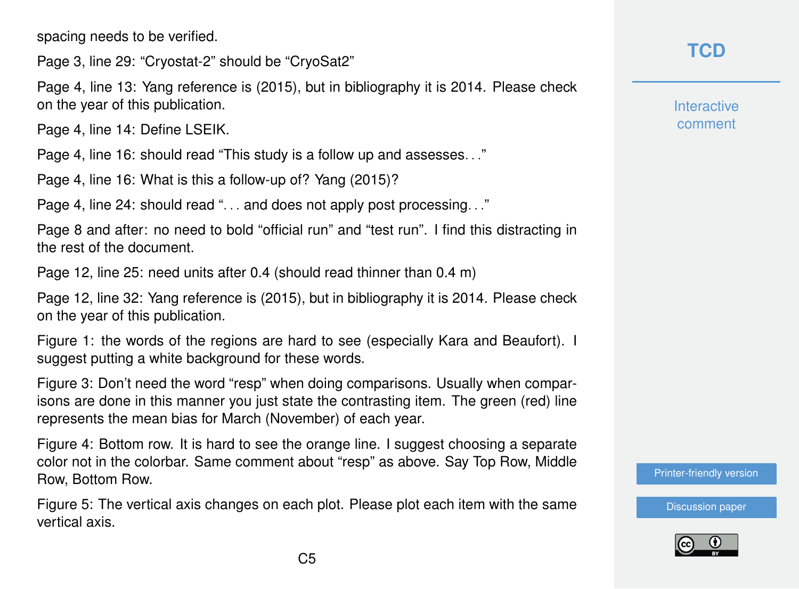spacing needs to be verified.

Page 3, line 29: "Cryostat-2" should be "CryoSat2"

Page 4, line 13: Yang reference is (2015), but in bibliography it is 2014. Please check on the year of this publication.

Page 4, line 14: Define LSEIK.

Page 4, line 16: should read "This study is a follow up and assesses. . ."

Page 4, line 16: What is this a follow-up of? Yang (2015)?

Page 4, line 24: should read "... and does not apply post processing..."

Page 8 and after: no need to bold "official run" and "test run". I find this distracting in the rest of the document.

Page 12, line 25: need units after 0.4 (should read thinner than 0.4 m)

Page 12, line 32: Yang reference is (2015), but in bibliography it is 2014. Please check on the year of this publication.

Figure 1: the words of the regions are hard to see (especially Kara and Beaufort). I suggest putting a white background for these words.

Figure 3: Don't need the word "resp" when doing comparisons. Usually when comparisons are done in this manner you just state the contrasting item. The green (red) line represents the mean bias for March (November) of each year.

Figure 4: Bottom row. It is hard to see the orange line. I suggest choosing a separate color not in the colorbar. Same comment about "resp" as above. Say Top Row, Middle Row, Bottom Row.

Figure 5: The vertical axis changes on each plot. Please plot each item with the same vertical axis.

## **[TCD](http://www.the-cryosphere-discuss.net/)**

**Interactive** comment

[Printer-friendly version](http://www.the-cryosphere-discuss.net/tc-2016-112/tc-2016-112-RC1-print.pdf)